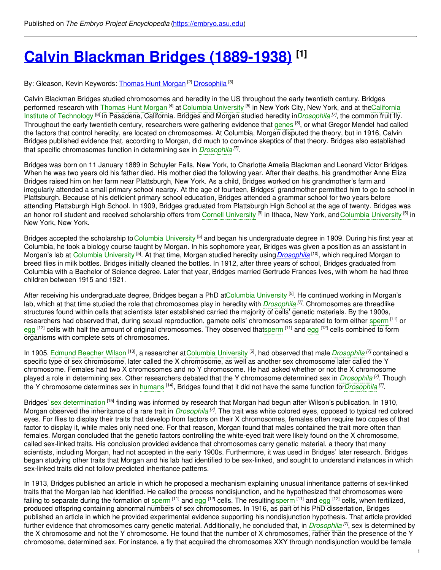# **Calvin Blackman Bridges [\(1889-1938\)](https://embryo.asu.edu/pages/calvin-blackman-bridges-1889-1938) [1]**

By: Gleason, Kevin Keywords: <u>[Thomas](https://embryo.asu.edu/keywords/thomas-hunt-morgan) Hunt Morgan [2] [Drosophila](https://embryo.asu.edu/keywords/drosophila)</u> [3]

Calvin Blackman Bridges studied chromosomes and heredity in the US throughout the early twentieth century. Bridges performed research with [Thomas](https://embryo.asu.edu/search?text=Thomas%20Hunt%20Morgan) Hunt Morgan <sup>[4]</sup> at Columbia [University](https://embryo.asu.edu/search?text=Columbia%20University) <sup>[5]</sup> in New York City, New York, and at [theCalifornia](https://embryo.asu.edu/search?text=California%20Institute%20of%20Technology) Institute of Technology <sup>[6]</sup> in Pasadena, California. Bridges and Morgan studied heredity in*[Drosophila](https://embryo.asu.edu/search?text=Drosophila)*<sup>[7]</sup>, the common fruit fly. Throughout the early twentieth century, researchers were gathering evidence that [genes](https://embryo.asu.edu/search?text=genes) <sup>[8]</sup>, or what Gregor Mendel had called the factors that control heredity, are located on chromosomes. At Columbia, Morgan disputed the theory, but in 1916, Calvin Bridges published evidence that, according to Morgan, did much to convince skeptics of that theory. Bridges also established that specific chromosomes function in determining sex in *[Drosophila](https://embryo.asu.edu/search?text=Drosophila) [7]* .

Bridges was born on 11 January 1889 in Schuyler Falls, New York, to Charlotte Amelia Blackman and Leonard Victor Bridges. When he was two years old his father died. His mother died the following year. After their deaths, his grandmother Anne Eliza Bridges raised him on her farm near Plattsburgh, New York. As a child, Bridges worked on his grandmother's farm and irregularly attended a small primary school nearby. At the age of fourteen, Bridges' grandmother permitted him to go to school in Plattsburgh. Because of his deficient primary school education, Bridges attended a grammar school for two years before attending Plattsburgh High School. In 1909, Bridges graduated from Plattsburgh High School at the age of twenty. Bridges was an honor roll student and received scholarship offers from Cornell [University](https://embryo.asu.edu/search?text=Columbia%20University) <sup>[9]</sup> in Ithaca, New York, and Columbia University <sup>[5]</sup> in New York, New York.

Bridges accepted the scholarship to Columbia [University](https://embryo.asu.edu/search?text=Columbia%20University) <sup>[5]</sup> and began his undergraduate degree in 1909. During his first year at Columbia, he took a biology course taught by Morgan. In his sophomore year, Bridges was given a position as an assistant in Morgan's lab at Columbia [University](https://embryo.asu.edu/search?text=Columbia%20University) <sup>[5]</sup>. At that time, Morgan studied heredity using*[Drosophila](http://eol.org/pages/54522/overview)* <sup>[10]</sup>, which required Morgan to breed flies in milk bottles. Bridges initially cleaned the bottles. In 1912, after three years of school, Bridges graduated from Columbia with a Bachelor of Science degree. Later that year, Bridges married Gertrude Frances Ives, with whom he had three children between 1915 and 1921.

After receiving his undergraduate degree, Bridges began a PhD atColumbia [University](https://embryo.asu.edu/search?text=Columbia%20University) <sup>[5]</sup>. He continued working in Morgan's lab, which at that time studied the role that chromosomes play in heredity with *[Drosophila](https://embryo.asu.edu/search?text=Drosophila) [7]* . Chromosomes are threadlike structures found within cells that scientists later established carried the majority of cells' genetic materials. By the 1900s, researchers had observed that, during sexual reproduction, gamete cells' chromosomes separated to form either [sperm](https://embryo.asu.edu/search?text=sperm) [11] or [egg](https://embryo.asu.edu/search?text=egg) <sup>[12]</sup> cells with half the amount of original chromosomes. They observed that[sperm](https://embryo.asu.edu/search?text=sperm) <sup>[11]</sup> and egg <sup>[12]</sup> cells combined to form organisms with complete sets of chromosomes.

In 1905, Edmund [Beecher](https://embryo.asu.edu/search?text=Edmund%20Beecher%20Wilson) Wilson <sup>[13]</sup>, a researcher at Columbia [University](https://embryo.asu.edu/search?text=Columbia%20University) <sup>[5]</sup>, had observed that male *[Drosophila](https://embryo.asu.edu/search?text=Drosophila)* <sup>[7]</sup> contained a specific type of sex chromosome, later called the X chromosome, as well as another sex chromosome later called the Y chromosome. Females had two X chromosomes and no Y chromosome. He had asked whether or not the X chromosome played a role in determining sex. Other researchers debated that the Y chromosome determined sex in *[Drosophila](https://embryo.asu.edu/search?text=Drosophila) [7]* . Though the Y chromosome determines sex in [humans](https://embryo.asu.edu/search?text=humans) <sup>[14]</sup>, Bridges found that it did not have the same function for*[Drosophila](https://embryo.asu.edu/search?text=Drosophila)* <sup>[7]</sup>.

Bridges' sex [determination](https://embryo.asu.edu/search?text=sex%20determination) <sup>[15]</sup> finding was informed by research that Morgan had begun after Wilson's publication. In 1910, Morgan observed the inheritance of a rare trait in *[Drosophila](https://embryo.asu.edu/search?text=Drosophila)<sup>[7]</sup>*. The trait was white colored eyes, opposed to typical red colored eyes. For flies to display their traits that develop from factors on their X chromosomes, females often require two copies of that factor to display it, while males only need one. For that reason, Morgan found that males contained the trait more often than females. Morgan concluded that the genetic factors controlling the white-eyed trait were likely found on the X chromosome, called sex-linked traits. His conclusion provided evidence that chromosomes carry genetic material, a theory that many scientists, including Morgan, had not accepted in the early 1900s. Furthermore, it was used in Bridges' later research. Bridges began studying other traits that Morgan and his lab had identified to be sex-linked, and sought to understand instances in which sex-linked traits did not follow predicted inheritance patterns.

In 1913, Bridges published an article in which he proposed a mechanism explaining unusual inheritance patterns of sex-linked traits that the Morgan lab had identified. He called the process nondisjunction, and he hypothesized that chromosomes were failing to separate during the formation of [sperm](https://embryo.asu.edu/search?text=sperm) <sup>[11]</sup> and [egg](https://embryo.asu.edu/search?text=egg) <sup>[12]</sup> cells. The resulting sperm <sup>[11]</sup> and egg <sup>[12]</sup> cells, when fertilized, produced offspring containing abnormal numbers of sex chromosomes. In 1916, as part of his PhD dissertation, Bridges published an article in which he provided experimental evidence supporting his nondisjunction hypothesis. That article provided further evidence that chromosomes carry genetic material. Additionally, he concluded that, in *[Drosophila](https://embryo.asu.edu/search?text=Drosophila) [7]* , sex is determined by the X chromosome and not the Y chromosome. He found that the number of X chromosomes, rather than the presence of the Y chromosome, determined sex. For instance, a fly that acquired the chromosomes XXY through nondisjunction would be female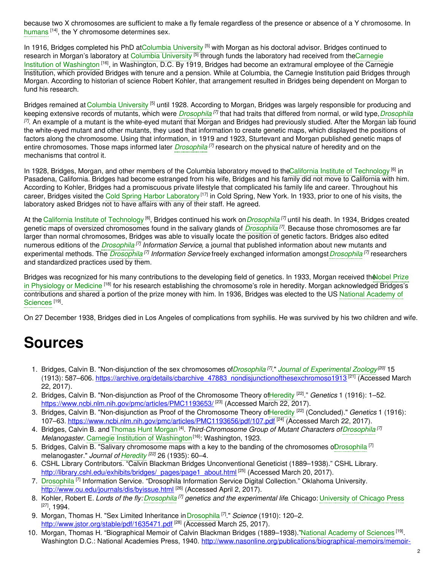because two X chromosomes are sufficient to make a fly female regardless of the presence or absence of a Y chromosome. In [humans](https://embryo.asu.edu/search?text=humans) <sup>[14]</sup>, the Y chromosome determines sex.

In 1916, Bridges completed his PhD a[tColumbia](https://embryo.asu.edu/search?text=Columbia%20University) University <sup>[5]</sup> with Morgan as his doctoral advisor. Bridges continued to research in Morgan's laboratory at Columbia [University](https://embryo.asu.edu/search?text=Columbia%20University) <sup>[5]</sup> through funds the laboratory had received from theCarnegie Institution of Washington <sup>[16]</sup>, in [Washington,](https://embryo.asu.edu/search?text=Carnegie%20Institution%20of%20Washington) D.C. By 1919, Bridges had become an extramural employee of the Carnegie Institution, which provided Bridges with tenure and a pension. While at Columbia, the Carnegie Institution paid Bridges through Morgan. According to historian of science Robert Kohler, that arrangement resulted in Bridges being dependent on Morgan to fund his research.

Bridges remained at Columbia [University](https://embryo.asu.edu/search?text=Columbia%20University) <sup>[5]</sup> until 1928. According to Morgan, Bridges was largely responsible for producing and keeping extensive records of mutants, which were *[Drosophila](https://embryo.asu.edu/search?text=Drosophila)* <sup>[7]</sup> that had traits that differed from normal, or wild type, *Drosophila [7]* . An example of a mutant is the white-eyed mutant that Morgan and Bridges had previously studied. After the Morgan lab found the white-eyed mutant and other mutants, they used that information to create genetic maps, which displayed the positions of factors along the chromosome. Using that information, in 1919 and 1923, Sturtevant and Morgan published genetic maps of entire chromosomes. Those maps informed later *[Drosophila](https://embryo.asu.edu/search?text=Drosophila) [7]* research on the physical nature of heredity and on the mechanisms that control it.

In 1928, Bridges, Morgan, and other members of the Columbia laboratory moved to theCalifornia Institute of [Technology](https://embryo.asu.edu/search?text=California%20Institute%20of%20Technology) <sup>[6]</sup> in Pasadena, California. Bridges had become estranged from his wife, Bridges and his family did not move to California with him. According to Kohler, Bridges had a promiscuous private lifestyle that complicated his family life and career. Throughout his career, Bridges visited the Cold Spring Harbor [Laboratory](https://embryo.asu.edu/search?text=Cold%20Spring%20Harbor%20Laboratory) [17] in Cold Spring, New York. In 1933, prior to one of his visits, the laboratory asked Bridges not to have affairs with any of their staff. He agreed.

At the California Institute of [Technology](https://embryo.asu.edu/search?text=California%20Institute%20of%20Technology) <sup>[6]</sup>, Bridges continued his work on*[Drosophila](https://embryo.asu.edu/search?text=Drosophila)* [7] until his death. In 1934, Bridges created genetic maps of oversized chromosomes found in the salivary glands of *[Drosophila](https://embryo.asu.edu/search?text=Drosophila) [7]* . Because those chromosomes are far larger than normal chromosomes, Bridges was able to visually locate the position of genetic factors. Bridges also edited numerous editions of the *[Drosophila](https://embryo.asu.edu/search?text=Drosophila) [7] Information Service*, a journal that published information about new mutants and experimental methods. The *[Drosophila](https://embryo.asu.edu/search?text=Drosophila) [7] Information Service* freely exchanged information amongst*[Drosophila](https://embryo.asu.edu/search?text=Drosophila) [7]* researchers and standardized practices used by them.

Bridges was recognized for his many contributions to the developing field of genetics. In 1933, Morgan received the Nobel Prize in Physiology or Medicine <sup>[18]</sup> for his research establishing the [chromosome's](https://embryo.asu.edu/search?text=Nobel%20Prize%20in%20Physiology%20or%20Medicine) role in heredity. Morgan acknowledged Bridges's [contributions](https://embryo.asu.edu/search?text=National%20Academy%20of%20Sciences) and shared a portion of the prize money with him. In 1936, Bridges was elected to the US National Academy of Sciences<sup>[19]</sup>.

On 27 December 1938, Bridges died in Los Angeles of complications from syphilis. He was survived by his two children and wife.

## **Sources**

- 1. Bridges, Calvin B. "Non-disjunction of the sex chromosomes of*[Drosophila](https://embryo.asu.edu/search?text=Drosophila) [7]* ." *Journal of [Experimental](https://embryo.asu.edu/search?text=Journal%20of%20Experimental%20Zoology) Zoology [20]* 15 (1913): 587–606. <u>[https://archive.org/details/cbarchive\\_47883\\_nondisjunctionofthesexchromoso1913](https://archive.org/details/cbarchive_47883_nondisjunctionofthesexchromoso1913)</u> <sup>[21]</sup> (Accessed March 22, 2017).
- 2. Bridges, Calvin B. "Non-disjunction as Proof of the Chromosome Theory o[fHeredity](https://embryo.asu.edu/search?text=Heredity) [22] ." *Genetics* 1 (1916): 1–52. <https://www.ncbi.nlm.nih.gov/pmc/articles/PMC1193653/> <sup>[23]</sup> (Accessed March 22, 2017).
- 3. Bridges, Calvin B. "Non-disjunction as Proof of the Chromosome Theory o[fHeredity](https://embryo.asu.edu/search?text=Heredity) [22] (Concluded)." *Genetics* 1 (1916): 107–63. <https://www.ncbi.nlm.nih.gov/pmc/articles/PMC1193656/pdf/107.pdf> [24] (Accessed March 22, 2017).
- 4. Bridges, Calvin B. and [Thomas](https://embryo.asu.edu/search?text=Thomas%20Hunt%20Morgan) Hunt Morgan [4] . *Third-Chromosome Group of Mutant Characters of[Drosophila](https://embryo.asu.edu/search?text=Drosophila) [7]* Melanogaster. Carnegie Institution of [Washington](https://embryo.asu.edu/search?text=Carnegie%20Institution%20of%20Washington)<sup>[16]</sup>: Washington, 1923.
- 5. Bridges, Calvin B. "Salivary chromosome maps with a key to the banding of the chromosomes oD[rosophila](https://embryo.asu.edu/search?text=Drosophila)<sup>[7]</sup> melanogaster." *Journal of [Heredity](https://embryo.asu.edu/search?text=Heredity) [22]* 26 (1935): 60–4.
- 6. CSHL Library Contributors. "Calvin Blackman Bridges Unconventional Geneticist (1889–1938)." CSHL Library. [http://library.cshl.edu/exhibits/bridges/\\_pages/page1\\_about.html](http://library.cshl.edu/exhibits/bridges/_pages/page1_about.html) [25] (Accessed March 20, 2017).
- 7. [Drosophila](https://embryo.asu.edu/search?text=Drosophila)<sup>[7]</sup> Information Service. "Drosophila Information Service Digital Collection." Oklahoma University. <http://www.ou.edu/journals/dis/byissue.html> <sup>[26]</sup> (Accessed April 2, 2017).
- 8. Kohler, Robert E. *Lords of the fly:[Drosophila](https://embryo.asu.edu/search?text=Drosophila) [7] genetics and the experimental life*. Chicago: [University](https://embryo.asu.edu/search?text=University%20of%20Chicago%20Press) of Chicago Press [27] , 1994.
- 9. Morgan, Thomas H. "Sex Limited Inheritance in [Drosophila](https://embryo.asu.edu/search?text=Drosophila) <sup>[7]</sup>." *Science* (1910): 120–2. <http://www.jstor.org/stable/pdf/1635471.pdf><sup>[28]</sup> (Accessed March 25, 2017).
- 10. Morgan, Thomas H. "Biographical Memoir of Calvin Blackman Bridges (1889–1938)."National [Academy](https://embryo.asu.edu/search?text=National%20Academy%20of%20Sciences) of Sciences [19]. Washington D.C.: National Academies Press, 1940. [http://www.nasonline.org/publications/biographical-memoirs/memoir-](http://www.nasonline.org/publications/biographical-memoirs/memoir-pdfs/bridges-calvin-b.pdf)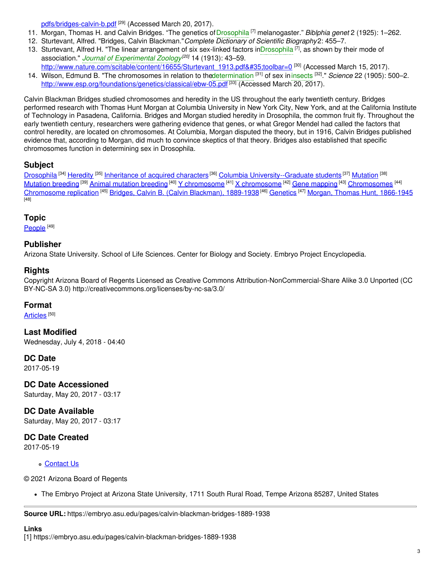pdfs/bridges-calvin-b.pdf <sup>[29]</sup> (Accessed March 20, 2017).

- 11. Morgan, Thomas H. and Calvin Bridges. "The genetics of[Drosophila](https://embryo.asu.edu/search?text=Drosophila) [7] melanogaster." *Biblphia genet* 2 (1925): 1–262.
- 12. Sturtevant, Alfred. "Bridges, Calvin Blackman."*Complete Dictionary of Scientific Biography*2: 455–7.
- 13. Sturtevant, Alfred H. "The linear arrangement of six sex-linked factors in[Drosophila](https://embryo.asu.edu/search?text=Drosophila) <sup>[7]</sup>, as shown by their mode of association." *Journal of [Experimental](https://embryo.asu.edu/search?text=Journal%20of%20Experimental%20Zoology) Zoology [20]* 14 (1913): 43–59.
- [http://www.nature.com/scitable/content/16655/Sturtevant\\_1913.pdf#toolbar=0](http://www.nature.com/scitable/content/16655/Sturtevant_1913.pdf#toolbar=0)<sup>[30]</sup> (Accessed March 15, 2017). 14. Wilson, Edmund B. "The chromosomes in relation to th[edetermination](https://embryo.asu.edu/search?text=determination) [31] of sex in[insects](https://embryo.asu.edu/search?text=insects) [32] ." *Science* 22 (1905): 500–2. <http://www.esp.org/foundations/genetics/classical/ebw-05.pdf><sup>[33]</sup> (Accessed March 20, 2017).

Calvin Blackman Bridges studied chromosomes and heredity in the US throughout the early twentieth century. Bridges performed research with Thomas Hunt Morgan at Columbia University in New York City, New York, and at the California Institute of Technology in Pasadena, California. Bridges and Morgan studied heredity in Drosophila, the common fruit fly. Throughout the early twentieth century, researchers were gathering evidence that genes, or what Gregor Mendel had called the factors that control heredity, are located on chromosomes. At Columbia, Morgan disputed the theory, but in 1916, Calvin Bridges published evidence that, according to Morgan, did much to convince skeptics of that theory. Bridges also established that specific chromosomes function in determining sex in Drosophila.

### **Subject**

[Drosophila](https://embryo.asu.edu/library-congress-subject-headings/drosophila) <sup>[34]</sup> [Heredity](https://embryo.asu.edu/library-congress-subject-headings/heredity) <sup>[35]</sup> [Inheritance](https://embryo.asu.edu/library-congress-subject-headings/inheritance-acquired-characters) of acquired characters <sup>[36]</sup> Columbia [University--Graduate](https://embryo.asu.edu/library-congress-subject-headings/columbia-university-graduate-students) students <sup>[37]</sup> [Mutation](https://embryo.asu.edu/library-congress-subject-headings/mutation) <sup>[38]</sup> <u>[Mutation](https://embryo.asu.edu/library-congress-subject-headings/mutation-breeding) breeding [39] Animal [mutation](https://embryo.asu.edu/library-congress-subject-headings/animal-mutation-breeding) breeding [40] Y [chromosome](https://embryo.asu.edu/library-congress-subject-headings/x-chromosome) [41] X chromosome [42] Gene [mapping](https://embryo.asu.edu/library-congress-subject-headings/gene-mapping) [43] [Chromosomes](https://embryo.asu.edu/library-congress-subject-headings/chromosomes) [44]</u> [Chromosome](https://embryo.asu.edu/library-congress-subject-headings/chromosome-replication) replication <sup>[45]</sup> Bridges, Calvin B. (Calvin [Blackman\),](https://embryo.asu.edu/library-congress-subject-headings/bridges-calvin-b-calvin-blackman-1889-1938) 1889-1938 <sup>[46]</sup> [Genetics](https://embryo.asu.edu/library-congress-subject-headings/genetics) <sup>[47]</sup> Morgan, Thomas Hunt, [1866-1945](https://embryo.asu.edu/library-congress-subject-headings/morgan-thomas-hunt-1866-1945) [48]

#### **Topic**

<u>[People](https://embryo.asu.edu/topics/people) [49]</u>

### **Publisher**

Arizona State University. School of Life Sciences. Center for Biology and Society. Embryo Project Encyclopedia.

#### **Rights**

Copyright Arizona Board of Regents Licensed as Creative Commons Attribution-NonCommercial-Share Alike 3.0 Unported (CC BY-NC-SA 3.0) http://creativecommons.org/licenses/by-nc-sa/3.0/

#### **Format**

<u>[Articles](https://embryo.asu.edu/formats/articles)</u>  $^{[50]}$ 

**Last Modified** Wednesday, July 4, 2018 - 04:40

### **DC Date**

2017-05-19

**DC Date Accessioned**

Saturday, May 20, 2017 - 03:17

**DC Date Available** Saturday, May 20, 2017 - 03:17

## **DC Date Created**

2017-05-19

#### **c** [Contact](https://embryo.asu.edu/contact) Us

© 2021 Arizona Board of Regents

The Embryo Project at Arizona State University, 1711 South Rural Road, Tempe Arizona 85287, United States

**Source URL:** https://embryo.asu.edu/pages/calvin-blackman-bridges-1889-1938

#### **Links**

[1] https://embryo.asu.edu/pages/calvin-blackman-bridges-1889-1938